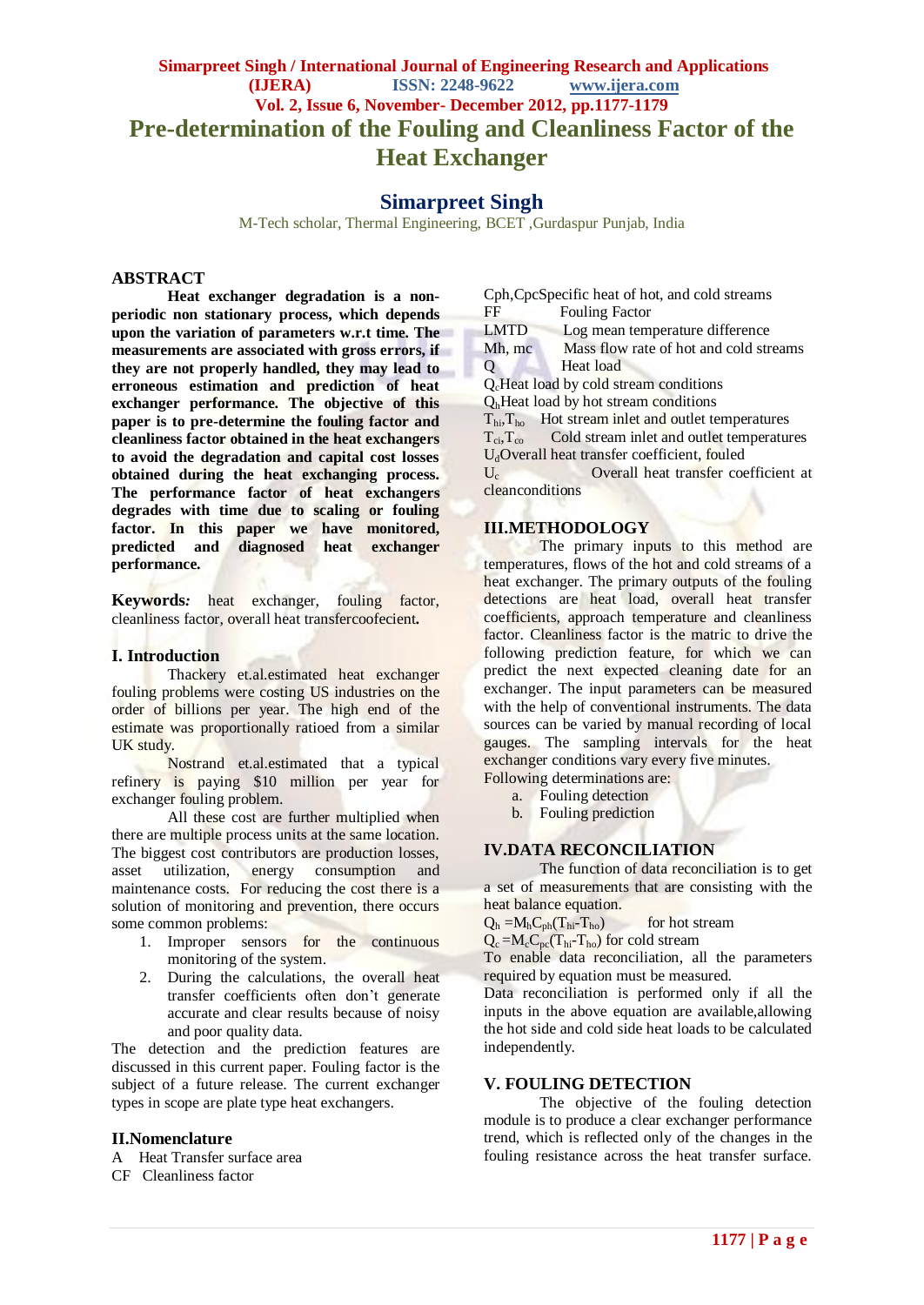# **Simarpreet Singh / International Journal of Engineering Research and Applications (IJERA) ISSN: 2248-9622 www.ijera.com Vol. 2, Issue 6, November- December 2012, pp.1177-1179 Pre-determination of the Fouling and Cleanliness Factor of the Heat Exchanger**

## **Simarpreet Singh**

M-Tech scholar, Thermal Engineering, BCET ,Gurdaspur Punjab, India

#### **ABSTRACT**

**Heat exchanger degradation is a nonperiodic non stationary process, which depends upon the variation of parameters w.r.t time. The measurements are associated with gross errors, if they are not properly handled, they may lead to erroneous estimation and prediction of heat exchanger performance. The objective of this paper is to pre-determine the fouling factor and cleanliness factor obtained in the heat exchangers to avoid the degradation and capital cost losses obtained during the heat exchanging process. The performance factor of heat exchangers degrades with time due to scaling or fouling factor. In this paper we have monitored, predicted and diagnosed heat exchanger performance.**

**Keywords***:* heat exchanger, fouling factor, cleanliness factor, overall heat transfercoofecient*.*

#### **I. Introduction**

Thackery et.al.estimated heat exchanger fouling problems were costing US industries on the order of billions per year. The high end of the estimate was proportionally ratioed from a similar UK study.

Nostrand et.al.estimated that a typical refinery is paying \$10 million per year for exchanger fouling problem.

All these cost are further multiplied when there are multiple process units at the same location. The biggest cost contributors are production losses, asset utilization, energy consumption and maintenance costs. For reducing the cost there is a solution of monitoring and prevention, there occurs some common problems:

- 1. Improper sensors for the continuous monitoring of the system.
- 2. During the calculations, the overall heat transfer coefficients often don't generate accurate and clear results because of noisy and poor quality data.

The detection and the prediction features are discussed in this current paper. Fouling factor is the subject of a future release. The current exchanger types in scope are plate type heat exchangers.

#### **II.Nomenclature**

A Heat Transfer surface area

CF Cleanliness factor

Cph,CpcSpecific heat of hot, and cold streams FF Fouling Factor

LMTD Log mean temperature difference

Mh, mc Mass flow rate of hot and cold streams Q Heat load

QcHeat load by cold stream conditions

 $Q<sub>h</sub>$  Heat load by hot stream conditions

 $T_{\text{hi}}$ ,  $T_{\text{ho}}$  Hot stream inlet and outlet temperatures<br> $T_{\text{ci}}$ , Cold stream inlet and outlet temperature

Cold stream inlet and outlet temperatures

U<sub>d</sub>Overall heat transfer coefficient, fouled

 $U_c$  Overall heat transfer coefficient at cleanconditions

### **III.METHODOLOGY**

The primary inputs to this method are temperatures, flows of the hot and cold streams of a heat exchanger. The primary outputs of the fouling detections are heat load, overall heat transfer coefficients, approach temperature and cleanliness factor. Cleanliness factor is the matric to drive the following prediction feature, for which we can predict the next expected cleaning date for an exchanger. The input parameters can be measured with the help of conventional instruments. The data sources can be varied by manual recording of local gauges. The sampling intervals for the heat exchanger conditions vary every five minutes. Following determinations are:

- a. Fouling detection
- b. Fouling prediction

#### **IV.DATA RECONCILIATION**

The function of data reconciliation is to get a set of measurements that are consisting with the heat balance equation.

 $Q_h = M_h C_{ph}(T_{hi} - T_{ho})$  for hot stream

 $Q_c = M_c C_{pc} (T_{hi} - T_{ho})$  for cold stream

To enable data reconciliation, all the parameters required by equation must be measured.

Data reconciliation is performed only if all the inputs in the above equation are available,allowing the hot side and cold side heat loads to be calculated independently.

#### **V. FOULING DETECTION**

The objective of the fouling detection module is to produce a clear exchanger performance trend, which is reflected only of the changes in the fouling resistance across the heat transfer surface.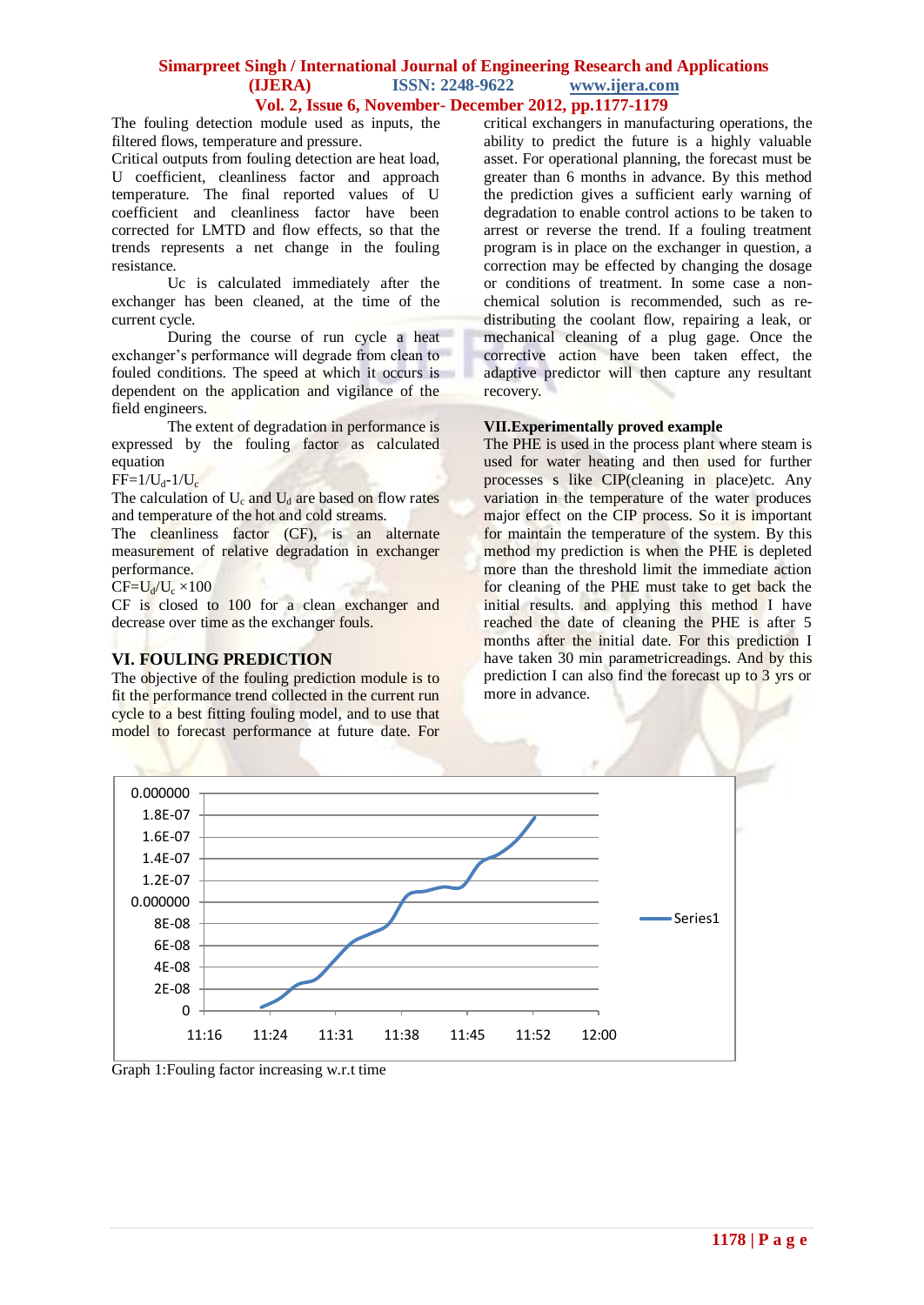### **Simarpreet Singh / International Journal of Engineering Research and Applications (IJERA) ISSN: 2248-9622 www.ijera.com Vol. 2, Issue 6, November- December 2012, pp.1177-1179**

The fouling detection module used as inputs, the filtered flows, temperature and pressure.

Critical outputs from fouling detection are heat load, U coefficient, cleanliness factor and approach temperature. The final reported values of U coefficient and cleanliness factor have been corrected for LMTD and flow effects, so that the trends represents a net change in the fouling resistance.

Uc is calculated immediately after the exchanger has been cleaned, at the time of the current cycle.

During the course of run cycle a heat exchanger's performance will degrade from clean to fouled conditions. The speed at which it occurs is dependent on the application and vigilance of the field engineers.

The extent of degradation in performance is expressed by the fouling factor as calculated equation

 $FF=1/U_d-1/U_c$ 

The calculation of  $U_c$  and  $U_d$  are based on flow rates and temperature of the hot and cold streams.

The cleanliness factor (CF), is an alternate measurement of relative degradation in exchanger performance.

 $CF=U_d/U_c \times 100$ 

CF is closed to 100 for a clean exchanger and decrease over time as the exchanger fouls.

# **VI. FOULING PREDICTION**

The objective of the fouling prediction module is to fit the performance trend collected in the current run cycle to a best fitting fouling model, and to use that model to forecast performance at future date. For critical exchangers in manufacturing operations, the ability to predict the future is a highly valuable asset. For operational planning, the forecast must be greater than 6 months in advance. By this method the prediction gives a sufficient early warning of degradation to enable control actions to be taken to arrest or reverse the trend. If a fouling treatment program is in place on the exchanger in question, a correction may be effected by changing the dosage or conditions of treatment. In some case a nonchemical solution is recommended, such as redistributing the coolant flow, repairing a leak, or mechanical cleaning of a plug gage. Once the corrective action have been taken effect, the adaptive predictor will then capture any resultant recovery.

## **VII.Experimentally proved example**

The PHE is used in the process plant where steam is used for water heating and then used for further processes s like CIP(cleaning in place)etc. Any variation in the temperature of the water produces major effect on the CIP process. So it is important for maintain the temperature of the system. By this method my prediction is when the PHE is depleted more than the threshold limit the immediate action for cleaning of the PHE must take to get back the initial results. and applying this method I have reached the date of cleaning the PHE is after 5 months after the initial date. For this prediction I have taken 30 min parametricreadings. And by this prediction I can also find the forecast up to 3 yrs or more in advance.